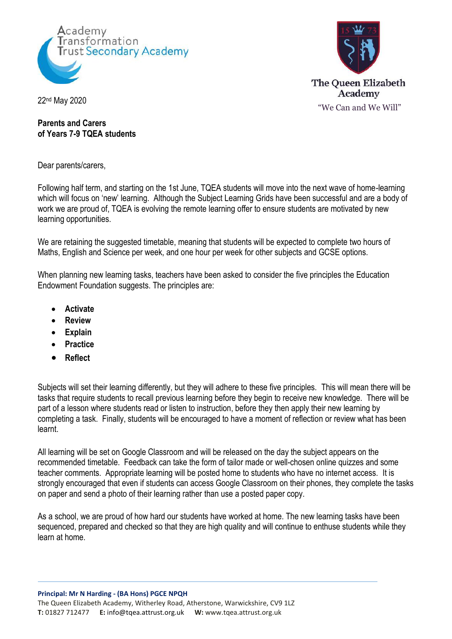



22nd May 2020

## **Parents and Carers of Years 7-9 TQEA students**

Dear parents/carers,

Following half term, and starting on the 1st June, TQEA students will move into the next wave of home-learning which will focus on 'new' learning. Although the Subject Learning Grids have been successful and are a body of work we are proud of, TQEA is evolving the remote learning offer to ensure students are motivated by new learning opportunities.

We are retaining the suggested timetable, meaning that students will be expected to complete two hours of Maths, English and Science per week, and one hour per week for other subjects and GCSE options.

When planning new learning tasks, teachers have been asked to consider the five principles the Education Endowment Foundation suggests. The principles are:

- **Activate**
- **Review**
- **Explain**
- **Practice**
- **Reflect**

Subjects will set their learning differently, but they will adhere to these five principles. This will mean there will be tasks that require students to recall previous learning before they begin to receive new knowledge. There will be part of a lesson where students read or listen to instruction, before they then apply their new learning by completing a task. Finally, students will be encouraged to have a moment of reflection or review what has been learnt.

All learning will be set on Google Classroom and will be released on the day the subject appears on the recommended timetable. Feedback can take the form of tailor made or well-chosen online quizzes and some teacher comments. Appropriate learning will be posted home to students who have no internet access. It is strongly encouraged that even if students can access Google Classroom on their phones, they complete the tasks on paper and send a photo of their learning rather than use a posted paper copy.

As a school, we are proud of how hard our students have worked at home. The new learning tasks have been sequenced, prepared and checked so that they are high quality and will continue to enthuse students while they learn at home.